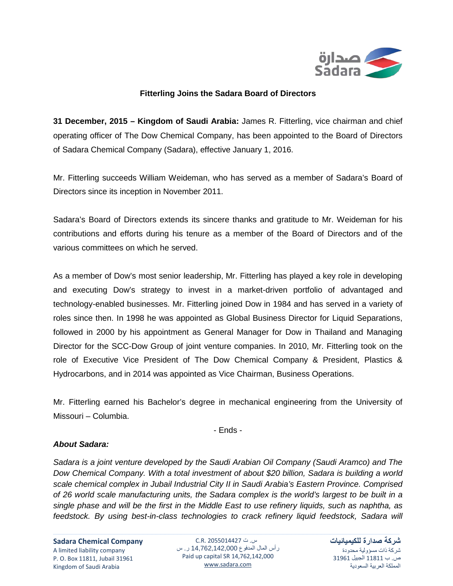

## **Fitterling Joins the Sadara Board of Directors**

**31 December, 2015 – Kingdom of Saudi Arabia:** James R. Fitterling, vice chairman and chief operating officer of The Dow Chemical Company, has been appointed to the Board of Directors of Sadara Chemical Company (Sadara), effective January 1, 2016.

Mr. Fitterling succeeds William Weideman, who has served as a member of Sadara's Board of Directors since its inception in November 2011.

Sadara's Board of Directors extends its sincere thanks and gratitude to Mr. Weideman for his contributions and efforts during his tenure as a member of the Board of Directors and of the various committees on which he served.

As a member of Dow's most senior leadership, Mr. Fitterling has played a key role in developing and executing Dow's strategy to invest in a market-driven portfolio of advantaged and technology-enabled businesses. Mr. Fitterling joined Dow in 1984 and has served in a variety of roles since then. In 1998 he was appointed as Global Business Director for Liquid Separations, followed in 2000 by his appointment as General Manager for Dow in Thailand and Managing Director for the SCC-Dow Group of joint venture companies. In 2010, Mr. Fitterling took on the role of Executive Vice President of The Dow Chemical Company & President, Plastics & Hydrocarbons, and in 2014 was appointed as Vice Chairman, Business Operations.

Mr. Fitterling earned his Bachelor's degree in mechanical engineering from the University of Missouri – Columbia.

- Ends -

## *About Sadara:*

*Sadara is a joint venture developed by the Saudi Arabian Oil Company (Saudi Aramco) and The Dow Chemical Company. With a total investment of about \$20 billion, Sadara is building a world scale chemical complex in Jubail Industrial City II in Saudi Arabia's Eastern Province. Comprised of 26 world scale manufacturing units, the Sadara complex is the world's largest to be built in a single phase and will be the first in the Middle East to use refinery liquids, such as naphtha, as*  feedstock. By using best-in-class technologies to crack refinery liquid feedstock, Sadara will

س. ت 2055014427 .R.C رأس المال المدفوع 14,762,142,000 ر. س Paid up capital SR 14,762,142,000 [www.sadara.com](http://www.sadara.com/)